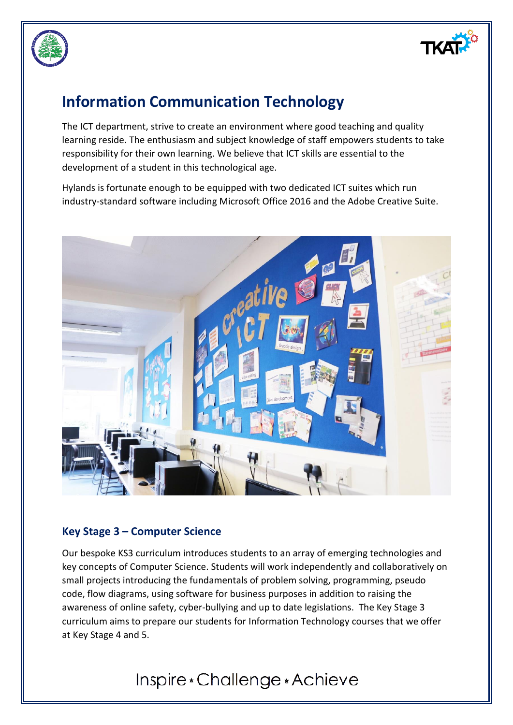



# **Information Communication Technology**

The ICT department, strive to create an environment where good teaching and quality learning reside. The enthusiasm and subject knowledge of staff empowers students to take responsibility for their own learning. We believe that ICT skills are essential to the development of a student in this technological age.

Hylands is fortunate enough to be equipped with two dedicated ICT suites which run industry-standard software including Microsoft Office 2016 and the Adobe Creative Suite.



## **Key Stage 3 – Computer Science**

Our bespoke KS3 curriculum introduces students to an array of emerging technologies and key concepts of Computer Science. Students will work independently and collaboratively on small projects introducing the fundamentals of problem solving, programming, pseudo code, flow diagrams, using software for business purposes in addition to raising the awareness of online safety, cyber-bullying and up to date legislations. The Key Stage 3 curriculum aims to prepare our students for Information Technology courses that we offer at Key Stage 4 and 5.

# Inspire \* Challenge \* Achieve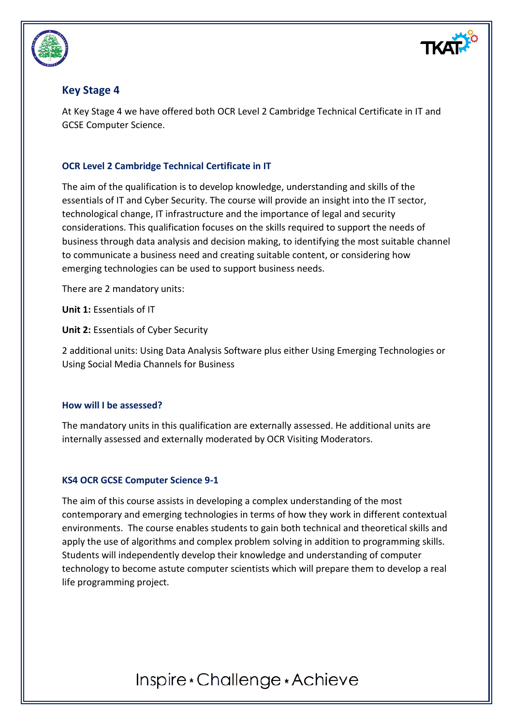

## **Key Stage 4**

At Key Stage 4 we have offered both OCR Level 2 Cambridge Technical Certificate in IT and GCSE Computer Science.

### **OCR Level 2 Cambridge Technical Certificate in IT**

The aim of the qualification is to develop knowledge, understanding and skills of the essentials of IT and Cyber Security. The course will provide an insight into the IT sector, technological change, IT infrastructure and the importance of legal and security considerations. This qualification focuses on the skills required to support the needs of business through data analysis and decision making, to identifying the most suitable channel to communicate a business need and creating suitable content, or considering how emerging technologies can be used to support business needs.

There are 2 mandatory units:

**Unit 1:** Essentials of IT

**Unit 2:** Essentials of Cyber Security

2 additional units: Using Data Analysis Software plus either Using Emerging Technologies or Using Social Media Channels for Business

### **How will I be assessed?**

The mandatory units in this qualification are externally assessed. He additional units are internally assessed and externally moderated by OCR Visiting Moderators.

### **KS4 OCR GCSE Computer Science 9-1**

The aim of this course assists in developing a complex understanding of the most contemporary and emerging technologies in terms of how they work in different contextual environments. The course enables students to gain both technical and theoretical skills and apply the use of algorithms and complex problem solving in addition to programming skills. Students will independently develop their knowledge and understanding of computer technology to become astute computer scientists which will prepare them to develop a real life programming project.

# Inspire \* Challenge \* Achieve